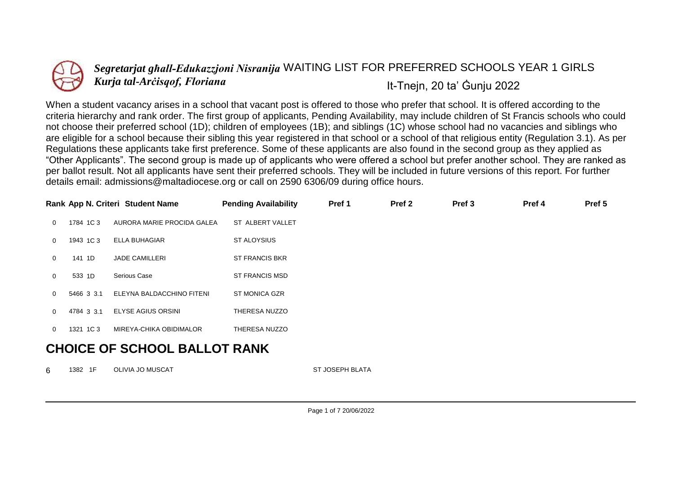

## *Segretarjat għall-Edukazzjoni Nisranija* WAITING LIST FOR PREFERRED SCHOOLS YEAR 1 GIRLS *Kurja tal-Arċisqof, Floriana* It-Tnejn, 20 ta' Ġunju 2022

When a student vacancy arises in a school that vacant post is offered to those who prefer that school. It is offered according to the criteria hierarchy and rank order. The first group of applicants, Pending Availability, may include children of St Francis schools who could not choose their preferred school (1D); children of employees (1B); and siblings (1C) whose school had no vacancies and siblings who are eligible for a school because their sibling this year registered in that school or a school of that religious entity (Regulation 3.1). As per Regulations these applicants take first preference. Some of these applicants are also found in the second group as they applied as "Other Applicants". The second group is made up of applicants who were offered a school but prefer another school. They are ranked as per ballot result. Not all applicants have sent their preferred schools. They will be included in future versions of this report. For further details email: admissions@maltadiocese.org or call on 2590 6306/09 during office hours.

|              |                               | Rank App N. Criteri Student Name | <b>Pending Availability</b> | Pref 1 | Pref <sub>2</sub> | Pref <sub>3</sub> | Pref 4 | Pref 5 |  |  |
|--------------|-------------------------------|----------------------------------|-----------------------------|--------|-------------------|-------------------|--------|--------|--|--|
| $\Omega$     | 1784 1C 3                     | AURORA MARIE PROCIDA GALEA       | ST ALBERT VALLET            |        |                   |                   |        |        |  |  |
| $\Omega$     | 1943 1C 3                     | <b>ELLA BUHAGIAR</b>             | <b>ST ALOYSIUS</b>          |        |                   |                   |        |        |  |  |
| $\Omega$     | 141 1D                        | <b>JADE CAMILLERI</b>            | <b>ST FRANCIS BKR</b>       |        |                   |                   |        |        |  |  |
| $\mathbf{0}$ | 533 1D                        | Serious Case                     | <b>ST FRANCIS MSD</b>       |        |                   |                   |        |        |  |  |
| $\Omega$     | 5466 3 3.1                    | ELEYNA BALDACCHINO FITENI        | <b>ST MONICA GZR</b>        |        |                   |                   |        |        |  |  |
| $\Omega$     | 4784 3 3.1                    | <b>ELYSE AGIUS ORSINI</b>        | THERESA NUZZO               |        |                   |                   |        |        |  |  |
| $\Omega$     | 1321 1C 3                     | MIREYA-CHIKA OBIDIMALOR          | THERESA NUZZO               |        |                   |                   |        |        |  |  |
|              | AUAIAP AP AAUAAL BILLAT BILUZ |                                  |                             |        |                   |                   |        |        |  |  |

## **CHOICE OF SCHOOL BALLOT RANK**

6 1382 1F OLIVIA JO MUSCAT **ST JOSEPH BLATA**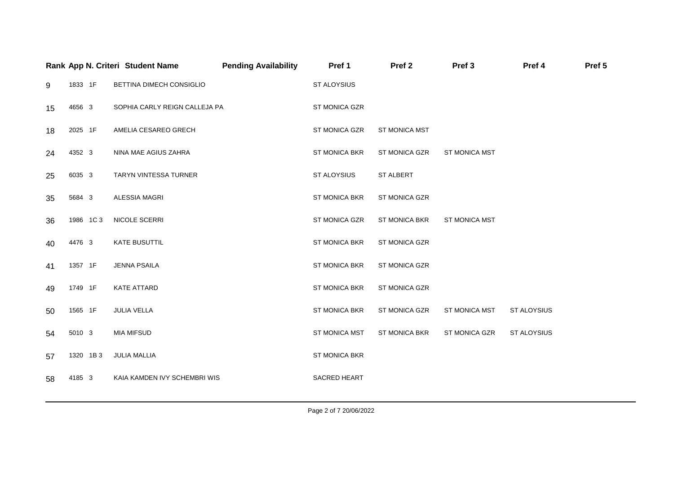|    |           | Rank App N. Criteri Student Name | <b>Pending Availability</b> | Pref 1               | Pref <sub>2</sub>    | Pref <sub>3</sub>    | Pref 4             | Pref 5 |
|----|-----------|----------------------------------|-----------------------------|----------------------|----------------------|----------------------|--------------------|--------|
| 9  | 1833 1F   | BETTINA DIMECH CONSIGLIO         |                             | ST ALOYSIUS          |                      |                      |                    |        |
| 15 | 4656 3    | SOPHIA CARLY REIGN CALLEJA PA    |                             | ST MONICA GZR        |                      |                      |                    |        |
| 18 | 2025 1F   | AMELIA CESAREO GRECH             |                             | <b>ST MONICA GZR</b> | <b>ST MONICA MST</b> |                      |                    |        |
| 24 | 4352 3    | NINA MAE AGIUS ZAHRA             |                             | <b>ST MONICA BKR</b> | ST MONICA GZR        | <b>ST MONICA MST</b> |                    |        |
| 25 | 6035 3    | TARYN VINTESSA TURNER            |                             | ST ALOYSIUS          | ST ALBERT            |                      |                    |        |
| 35 | 5684 3    | ALESSIA MAGRI                    |                             | <b>ST MONICA BKR</b> | ST MONICA GZR        |                      |                    |        |
| 36 | 1986 1C3  | NICOLE SCERRI                    |                             | ST MONICA GZR        | <b>ST MONICA BKR</b> | <b>ST MONICA MST</b> |                    |        |
| 40 | 4476 3    | <b>KATE BUSUTTIL</b>             |                             | ST MONICA BKR        | ST MONICA GZR        |                      |                    |        |
| 41 | 1357 1F   | <b>JENNA PSAILA</b>              |                             | <b>ST MONICA BKR</b> | ST MONICA GZR        |                      |                    |        |
| 49 | 1749 1F   | KATE ATTARD                      |                             | ST MONICA BKR        | ST MONICA GZR        |                      |                    |        |
| 50 | 1565 1F   | <b>JULIA VELLA</b>               |                             | ST MONICA BKR        | ST MONICA GZR        | ST MONICA MST        | ST ALOYSIUS        |        |
| 54 | 5010 3    | <b>MIA MIFSUD</b>                |                             | <b>ST MONICA MST</b> | <b>ST MONICA BKR</b> | <b>ST MONICA GZR</b> | <b>ST ALOYSIUS</b> |        |
| 57 | 1320 1B 3 | <b>JULIA MALLIA</b>              |                             | ST MONICA BKR        |                      |                      |                    |        |
| 58 | 4185 3    | KAIA KAMDEN IVY SCHEMBRI WIS     |                             | SACRED HEART         |                      |                      |                    |        |
|    |           |                                  |                             |                      |                      |                      |                    |        |

Page 2 of 7 20/06/2022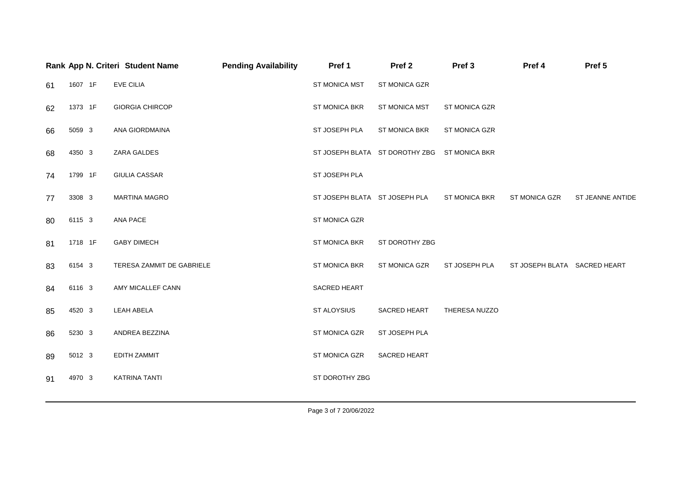|    |         | Rank App N. Criteri Student Name | <b>Pending Availability</b> | Pref 1                        | Pref <sub>2</sub>                            | Pref <sub>3</sub> | Pref 4                       | Pref 5           |
|----|---------|----------------------------------|-----------------------------|-------------------------------|----------------------------------------------|-------------------|------------------------------|------------------|
| 61 | 1607 1F | <b>EVE CILIA</b>                 |                             | ST MONICA MST                 | ST MONICA GZR                                |                   |                              |                  |
| 62 | 1373 1F | <b>GIORGIA CHIRCOP</b>           |                             | ST MONICA BKR                 | ST MONICA MST                                | ST MONICA GZR     |                              |                  |
| 66 | 5059 3  | ANA GIORDMAINA                   |                             | ST JOSEPH PLA                 | ST MONICA BKR                                | ST MONICA GZR     |                              |                  |
| 68 | 4350 3  | ZARA GALDES                      |                             |                               | ST JOSEPH BLATA ST DOROTHY ZBG ST MONICA BKR |                   |                              |                  |
| 74 | 1799 1F | <b>GIULIA CASSAR</b>             |                             | ST JOSEPH PLA                 |                                              |                   |                              |                  |
| 77 | 3308 3  | <b>MARTINA MAGRO</b>             |                             | ST JOSEPH BLATA ST JOSEPH PLA |                                              | ST MONICA BKR     | ST MONICA GZR                | ST JEANNE ANTIDE |
| 80 | 6115 3  | ANA PACE                         |                             | ST MONICA GZR                 |                                              |                   |                              |                  |
| 81 | 1718 1F | <b>GABY DIMECH</b>               |                             | ST MONICA BKR                 | ST DOROTHY ZBG                               |                   |                              |                  |
| 83 | 6154 3  | TERESA ZAMMIT DE GABRIELE        |                             | ST MONICA BKR                 | ST MONICA GZR                                | ST JOSEPH PLA     | ST JOSEPH BLATA SACRED HEART |                  |
| 84 | 6116 3  | AMY MICALLEF CANN                |                             | SACRED HEART                  |                                              |                   |                              |                  |
| 85 | 4520 3  | LEAH ABELA                       |                             | ST ALOYSIUS                   | <b>SACRED HEART</b>                          | THERESA NUZZO     |                              |                  |
| 86 | 5230 3  | ANDREA BEZZINA                   |                             | ST MONICA GZR                 | ST JOSEPH PLA                                |                   |                              |                  |
| 89 | 5012 3  | <b>EDITH ZAMMIT</b>              |                             | ST MONICA GZR                 | SACRED HEART                                 |                   |                              |                  |
| 91 | 4970 3  | <b>KATRINA TANTI</b>             |                             | ST DOROTHY ZBG                |                                              |                   |                              |                  |
|    |         |                                  |                             |                               |                                              |                   |                              |                  |

Page 3 of 7 20/06/2022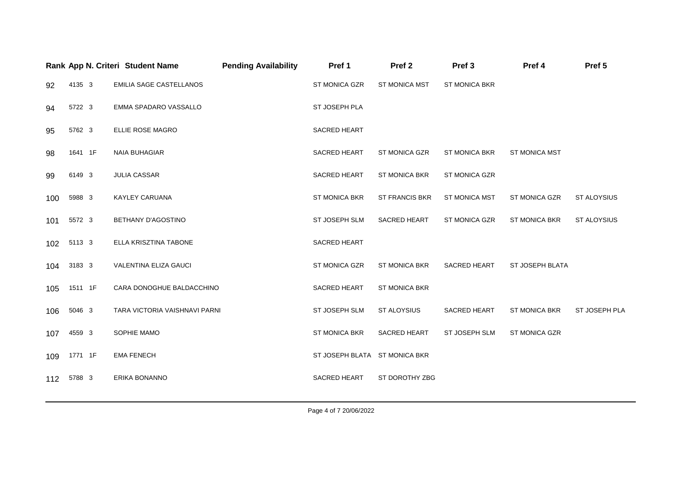|     |         | Rank App N. Criteri Student Name | <b>Pending Availability</b> | Pref 1                        | Pref <sub>2</sub>     | Pref <sub>3</sub>    | Pref 4               | Pref 5             |
|-----|---------|----------------------------------|-----------------------------|-------------------------------|-----------------------|----------------------|----------------------|--------------------|
| 92  | 4135 3  | EMILIA SAGE CASTELLANOS          |                             | <b>ST MONICA GZR</b>          | <b>ST MONICA MST</b>  | <b>ST MONICA BKR</b> |                      |                    |
| 94  | 5722 3  | EMMA SPADARO VASSALLO            |                             | ST JOSEPH PLA                 |                       |                      |                      |                    |
| 95  | 5762 3  | ELLIE ROSE MAGRO                 |                             | SACRED HEART                  |                       |                      |                      |                    |
| 98  | 1641 1F | <b>NAIA BUHAGIAR</b>             |                             | <b>SACRED HEART</b>           | <b>ST MONICA GZR</b>  | <b>ST MONICA BKR</b> | <b>ST MONICA MST</b> |                    |
| 99  | 6149 3  | <b>JULIA CASSAR</b>              |                             | <b>SACRED HEART</b>           | <b>ST MONICA BKR</b>  | <b>ST MONICA GZR</b> |                      |                    |
| 100 | 5988 3  | <b>KAYLEY CARUANA</b>            |                             | <b>ST MONICA BKR</b>          | <b>ST FRANCIS BKR</b> | <b>ST MONICA MST</b> | <b>ST MONICA GZR</b> | <b>ST ALOYSIUS</b> |
| 101 | 5572 3  | <b>BETHANY D'AGOSTINO</b>        |                             | ST JOSEPH SLM                 | <b>SACRED HEART</b>   | <b>ST MONICA GZR</b> | <b>ST MONICA BKR</b> | <b>ST ALOYSIUS</b> |
| 102 | 5113 3  | ELLA KRISZTINA TABONE            |                             | SACRED HEART                  |                       |                      |                      |                    |
| 104 | 3183 3  | VALENTINA ELIZA GAUCI            |                             | ST MONICA GZR                 | ST MONICA BKR         | SACRED HEART         | ST JOSEPH BLATA      |                    |
| 105 | 1511 1F | CARA DONOGHUE BALDACCHINO        |                             | <b>SACRED HEART</b>           | <b>ST MONICA BKR</b>  |                      |                      |                    |
| 106 | 5046 3  | TARA VICTORIA VAISHNAVI PARNI    |                             | ST JOSEPH SLM                 | <b>ST ALOYSIUS</b>    | SACRED HEART         | <b>ST MONICA BKR</b> | ST JOSEPH PLA      |
| 107 | 4559 3  | SOPHIE MAMO                      |                             | <b>ST MONICA BKR</b>          | <b>SACRED HEART</b>   | <b>ST JOSEPH SLM</b> | ST MONICA GZR        |                    |
| 109 | 1771 1F | <b>EMA FENECH</b>                |                             | ST JOSEPH BLATA ST MONICA BKR |                       |                      |                      |                    |
| 112 | 5788 3  | ERIKA BONANNO                    |                             | SACRED HEART                  | ST DOROTHY ZBG        |                      |                      |                    |
|     |         |                                  |                             |                               |                       |                      |                      |                    |

Page 4 of 7 20/06/2022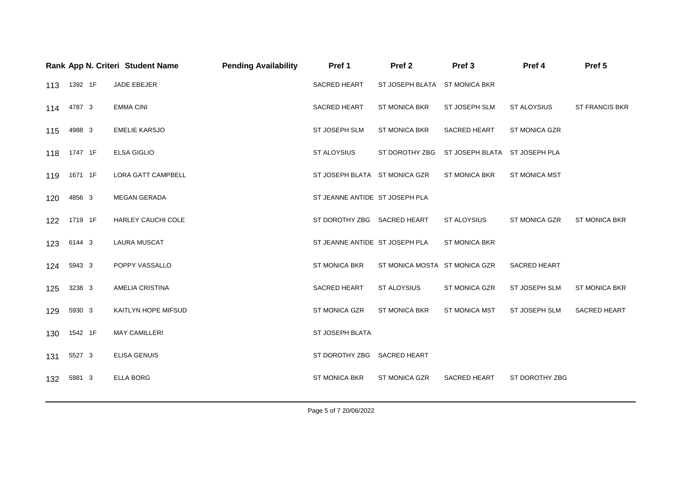|     |             | Rank App N. Criteri Student Name | <b>Pending Availability</b> | Pref 1                         | Pref <sub>2</sub>             | Pref <sub>3</sub>             | Pref 4               | Pref 5                |
|-----|-------------|----------------------------------|-----------------------------|--------------------------------|-------------------------------|-------------------------------|----------------------|-----------------------|
|     | 113 1392 1F | JADE EBEJER                      |                             | SACRED HEART                   | ST JOSEPH BLATA ST MONICA BKR |                               |                      |                       |
|     | 114 4787 3  | <b>EMMA CINI</b>                 |                             | <b>SACRED HEART</b>            | <b>ST MONICA BKR</b>          | ST JOSEPH SLM                 | ST ALOYSIUS          | <b>ST FRANCIS BKR</b> |
| 115 | 4988 3      | <b>EMELIE KARSJO</b>             |                             | <b>ST JOSEPH SLM</b>           | <b>ST MONICA BKR</b>          | SACRED HEART                  | <b>ST MONICA GZR</b> |                       |
| 118 | 1747 1F     | <b>ELSA GIGLIO</b>               |                             | ST ALOYSIUS                    | ST DOROTHY ZBG                | ST JOSEPH BLATA ST JOSEPH PLA |                      |                       |
| 119 | 1671 1F     | <b>LORA GATT CAMPBELL</b>        |                             | ST JOSEPH BLATA ST MONICA GZR  |                               | <b>ST MONICA BKR</b>          | <b>ST MONICA MST</b> |                       |
| 120 | 4856 3      | <b>MEGAN GERADA</b>              |                             | ST JEANNE ANTIDE ST JOSEPH PLA |                               |                               |                      |                       |
| 122 | 1719 1F     | HARLEY CAUCHI COLE               |                             | ST DOROTHY ZBG SACRED HEART    |                               | ST ALOYSIUS                   | ST MONICA GZR        | <b>ST MONICA BKR</b>  |
| 123 | 6144 3      | <b>LAURA MUSCAT</b>              |                             | ST JEANNE ANTIDE ST JOSEPH PLA |                               | <b>ST MONICA BKR</b>          |                      |                       |
| 124 | 5943 3      | POPPY VASSALLO                   |                             | ST MONICA BKR                  | ST MONICA MOSTA ST MONICA GZR |                               | SACRED HEART         |                       |
| 125 | 3238 3      | <b>AMELIA CRISTINA</b>           |                             | <b>SACRED HEART</b>            | ST ALOYSIUS                   | <b>ST MONICA GZR</b>          | ST JOSEPH SLM        | <b>ST MONICA BKR</b>  |
| 129 | 5930 3      | KAITLYN HOPE MIFSUD              |                             | ST MONICA GZR                  | <b>ST MONICA BKR</b>          | ST MONICA MST                 | ST JOSEPH SLM        | SACRED HEART          |
| 130 | 1542 1F     | <b>MAY CAMILLERI</b>             |                             | ST JOSEPH BLATA                |                               |                               |                      |                       |
| 131 | 5527 3      | <b>ELISA GENUIS</b>              |                             | ST DOROTHY ZBG SACRED HEART    |                               |                               |                      |                       |
| 132 | 5981 3      | <b>ELLA BORG</b>                 |                             | <b>ST MONICA BKR</b>           | ST MONICA GZR                 | SACRED HEART                  | ST DOROTHY ZBG       |                       |
|     |             |                                  |                             |                                |                               |                               |                      |                       |

Page 5 of 7 20/06/2022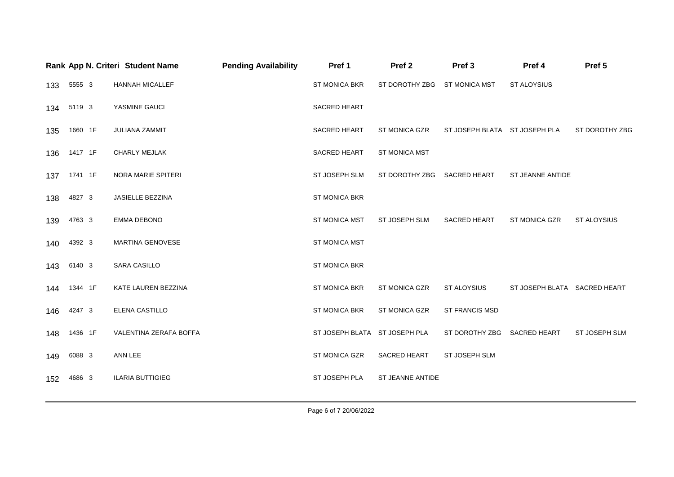|     |         | Rank App N. Criteri Student Name | <b>Pending Availability</b> | Pref 1                        | Pref <sub>2</sub>            | Pref <sub>3</sub>             | Pref 4                       | Pref 5             |
|-----|---------|----------------------------------|-----------------------------|-------------------------------|------------------------------|-------------------------------|------------------------------|--------------------|
| 133 | 5555 3  | HANNAH MICALLEF                  |                             | <b>ST MONICA BKR</b>          | ST DOROTHY ZBG ST MONICA MST |                               | <b>ST ALOYSIUS</b>           |                    |
| 134 | 5119 3  | YASMINE GAUCI                    |                             | SACRED HEART                  |                              |                               |                              |                    |
| 135 | 1660 1F | <b>JULIANA ZAMMIT</b>            |                             | <b>SACRED HEART</b>           | ST MONICA GZR                | ST JOSEPH BLATA ST JOSEPH PLA |                              | ST DOROTHY ZBG     |
| 136 | 1417 1F | <b>CHARLY MEJLAK</b>             |                             | <b>SACRED HEART</b>           | <b>ST MONICA MST</b>         |                               |                              |                    |
| 137 | 1741 1F | NORA MARIE SPITERI               |                             | ST JOSEPH SLM                 | ST DOROTHY ZBG SACRED HEART  |                               | ST JEANNE ANTIDE             |                    |
| 138 | 4827 3  | JASIELLE BEZZINA                 |                             | ST MONICA BKR                 |                              |                               |                              |                    |
| 139 | 4763 3  | <b>EMMA DEBONO</b>               |                             | <b>ST MONICA MST</b>          | ST JOSEPH SLM                | SACRED HEART                  | ST MONICA GZR                | <b>ST ALOYSIUS</b> |
| 140 | 4392 3  | <b>MARTINA GENOVESE</b>          |                             | <b>ST MONICA MST</b>          |                              |                               |                              |                    |
| 143 | 6140 3  | SARA CASILLO                     |                             | <b>ST MONICA BKR</b>          |                              |                               |                              |                    |
| 144 | 1344 1F | KATE LAUREN BEZZINA              |                             | ST MONICA BKR                 | ST MONICA GZR                | ST ALOYSIUS                   | ST JOSEPH BLATA SACRED HEART |                    |
| 146 | 4247 3  | ELENA CASTILLO                   |                             | ST MONICA BKR                 | ST MONICA GZR                | <b>ST FRANCIS MSD</b>         |                              |                    |
| 148 | 1436 1F | VALENTINA ZERAFA BOFFA           |                             | ST JOSEPH BLATA ST JOSEPH PLA |                              | ST DOROTHY ZBG SACRED HEART   |                              | ST JOSEPH SLM      |
| 149 | 6088 3  | ANN LEE                          |                             | ST MONICA GZR                 | <b>SACRED HEART</b>          | ST JOSEPH SLM                 |                              |                    |
| 152 | 4686 3  | <b>ILARIA BUTTIGIEG</b>          |                             | ST JOSEPH PLA                 | <b>ST JEANNE ANTIDE</b>      |                               |                              |                    |

Page 6 of 7 20/06/2022